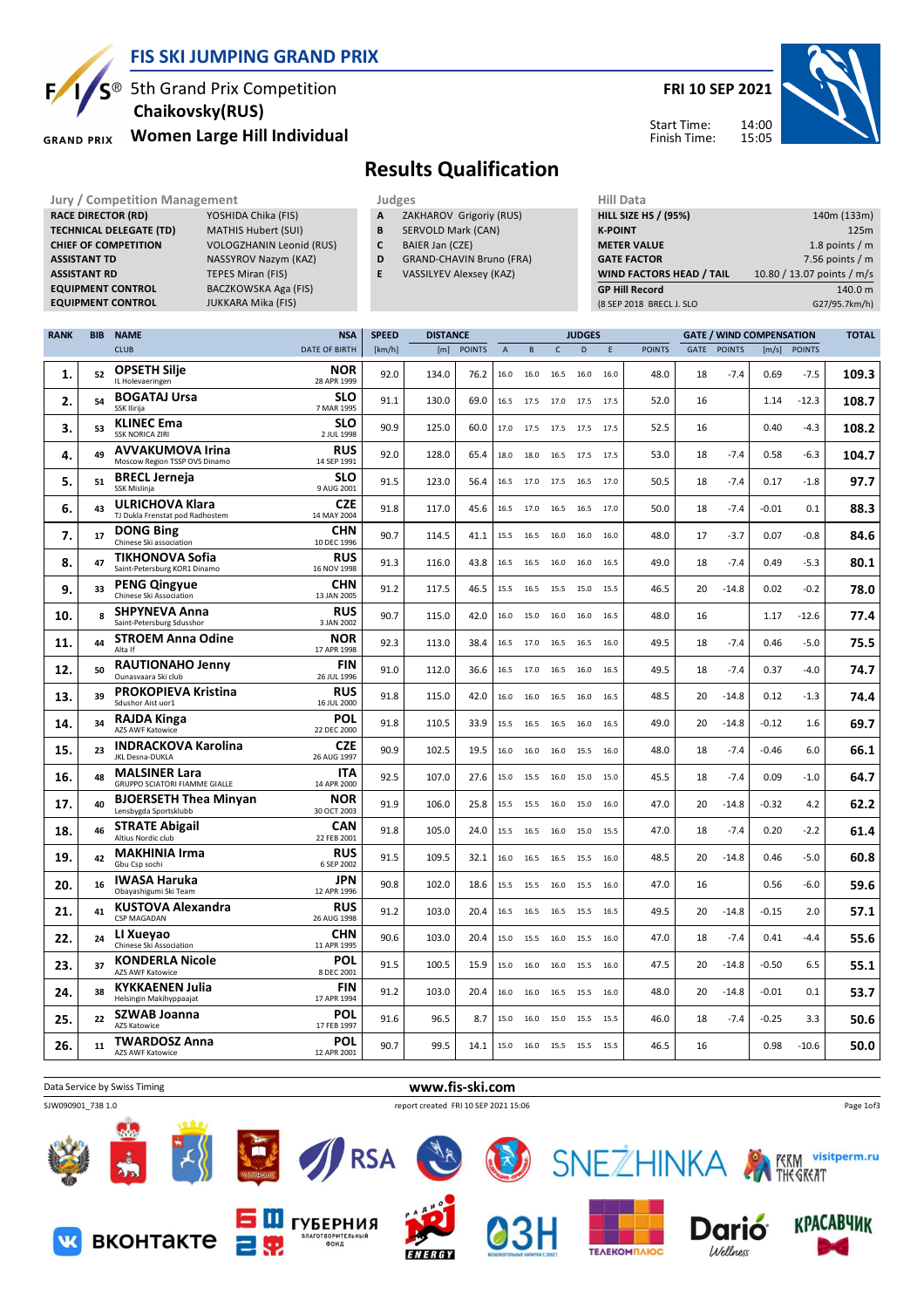

**RACE DIRECTOR (RD)** 

## **FIS SKI JUMPING GRAND PRIX**

**BACZKOWSKA Aga (FIS)** 

<sup>®</sup> 5th Grand Prix Competition  **Chaikovsky(RUS)**

**Women Large Hill Individual GRAND PRIX** 

**TECHNICAL DELEGATE (TD)** MATHIS Hubert (SUI) **CHIEF OF COMPETITION** VOLOGZHANIN Leonid (RUS) **ASSISTANT TD** NASSYROV Nazym (KAZ) **ASSISTANT RD** TEPES Miran (FIS)<br>**EQUIPMENT CONTROL** BACZKOWSKA Aga

**EQUIPMENT CONTROL** JUKKARA Mika (FIS)

## **FRI 10 SEP 2021**



Start Time: Finish Time:

## **Results Qualification**

- Jury / Competition Management<br> **RACE DIRECTOR (RD)** YOSHIDA Chika (FIS) **A ZAKHAROV Grigoriy (RUS) HILL SIZE HILL SIZE A** ZAKHAROV Grigoriy (RUS)
	- **B** SERVOLD Mark (CAN)
	- **C** BAIER Jan (CZE)
	- **D** GRAND-CHAVIN Bruno (FRA)
	- **E** VASSILYEV Alexsey (KAZ)

| пш мага                     |                            |
|-----------------------------|----------------------------|
| <b>HILL SIZE HS / (95%)</b> | 140m (133m)                |
| <b>K-POINT</b>              | 125m                       |
| <b>METER VALUE</b>          | 1.8 points $/m$            |
| <b>GATE FACTOR</b>          | 7.56 points $/m$           |
| WIND FACTORS HEAD / TAIL    | 10.80 / 13.07 points / m/s |
| <b>GP Hill Record</b>       | 140.0 m                    |
| (8 SEP 2018 BRECL J. SLO    | G27/95.7km/h)              |
|                             |                            |

| <b>RANK</b> | <b>BIB</b> | <b>NAME</b>                                                  | <b>NSA</b>                | <b>SPEED</b> | <b>DISTANCE</b> |               |                |           |             | <b>JUDGES</b> |      |               |      |               | <b>GATE / WIND COMPENSATION</b> |               | <b>TOTAL</b> |
|-------------|------------|--------------------------------------------------------------|---------------------------|--------------|-----------------|---------------|----------------|-----------|-------------|---------------|------|---------------|------|---------------|---------------------------------|---------------|--------------|
|             |            | <b>CLUB</b>                                                  | <b>DATE OF BIRTH</b>      | [km/h]       | [m]             | <b>POINTS</b> | $\overline{A}$ | B         | $\mathsf C$ | D             | E    | <b>POINTS</b> | GATE | <b>POINTS</b> | [m/s]                           | <b>POINTS</b> |              |
| 1.          | 52         | <b>OPSETH Silje</b><br>IL Holevaeringen                      | <b>NOR</b><br>28 APR 1999 | 92.0         | 134.0           | 76.2          | 16.0           | 16.0      | 16.5        | 16.0          | 16.0 | 48.0          | 18   | $-7.4$        | 0.69                            | $-7.5$        | 109.3        |
| 2.          | 54         | <b>BOGATAJ Ursa</b><br>SSK Ilirija                           | <b>SLO</b><br>7 MAR 1995  | 91.1         | 130.0           | 69.0          | 16.5           | 17.5      | 17.0        | 17.5          | 17.5 | 52.0          | 16   |               | 1.14                            | -12.3         | 108.7        |
| 3.          | 53         | <b>KLINEC Ema</b><br><b>SSK NORICA ZIRI</b>                  | <b>SLO</b><br>2 JUL 1998  | 90.9         | 125.0           | 60.0          | 17.0           | 17.5      | 17.5        | 17.5          | 17.5 | 52.5          | 16   |               | 0.40                            | $-4.3$        | 108.2        |
| 4.          | 49         | <b>AVVAKUMOVA Irina</b><br>Moscow Region TSSP OVS Dinamo     | <b>RUS</b><br>14 SEP 1991 | 92.0         | 128.0           | 65.4          | 18.0           | 18.0      | 16.5        | 17.5          | 17.5 | 53.0          | 18   | $-7.4$        | 0.58                            | $-6.3$        | 104.7        |
| 5.          | 51         | <b>BRECL Jerneja</b><br>SSK Mislinja                         | <b>SLO</b><br>9 AUG 2001  | 91.5         | 123.0           | 56.4          | 16.5           | 17.0      | 17.5 16.5   |               | 17.0 | 50.5          | 18   | $-7.4$        | 0.17                            | $-1.8$        | 97.7         |
| 6.          | 43         | <b>ULRICHOVA Klara</b><br>TJ Dukla Frenstat pod Radhostem    | <b>CZE</b><br>14 MAY 2004 | 91.8         | 117.0           | 45.6          | 16.5           | 17.0      | 16.5        | 16.5          | 17.0 | 50.0          | 18   | -7.4          | $-0.01$                         | 0.1           | 88.3         |
| 7.          | 17         | <b>DONG Bing</b><br>Chinese Ski association                  | <b>CHN</b><br>10 DEC 1996 | 90.7         | 114.5           | 41.1          | 15.5           | 16.5      | 16.0        | 16.0          | 16.0 | 48.0          | 17   | $-3.7$        | 0.07                            | $-0.8$        | 84.6         |
| 8.          | 47         | <b>TIKHONOVA Sofia</b><br>Saint-Petersburg KOR1 Dinamo       | <b>RUS</b><br>16 NOV 1998 | 91.3         | 116.0           | 43.8          | 16.5           | 16.5      | 16.0        | 16.0          | 16.5 | 49.0          | 18   | $-7.4$        | 0.49                            | $-5.3$        | 80.1         |
| 9.          | 33         | <b>PENG Qingyue</b><br>Chinese Ski Association               | <b>CHN</b><br>13 JAN 2005 | 91.2         | 117.5           | 46.5          | 15.5           | 16.5      | 15.5        | 15.0          | 15.5 | 46.5          | 20   | $-14.8$       | 0.02                            | $-0.2$        | 78.0         |
| 10.         | R          | <b>SHPYNEVA Anna</b><br>Saint-Petersburg Sdusshor            | <b>RUS</b><br>3 JAN 2002  | 90.7         | 115.0           | 42.0          | 16.0           | 15.0      | 16.0        | 16.0          | 16.5 | 48.0          | 16   |               | 1.17                            | $-12.6$       | 77.4         |
| 11.         | 44         | <b>STROEM Anna Odine</b><br>Alta If                          | <b>NOR</b><br>17 APR 1998 | 92.3         | 113.0           | 38.4          | 16.5           | 17.0      | 16.5        | 16.5          | 16.0 | 49.5          | 18   | $-7.4$        | 0.46                            | $-5.0$        | 75.5         |
| 12.         | 50         | <b>RAUTIONAHO Jenny</b><br>Ounasvaara Ski club               | <b>FIN</b><br>26 JUL 1996 | 91.0         | 112.0           | 36.6          | 16.5           | 17.0      | 16.5        | 16.0          | 16.5 | 49.5          | 18   | $-7.4$        | 0.37                            | $-4.0$        | 74.7         |
| 13.         | 39         | PROKOPIEVA Kristina<br>Sdushor Aist uor1                     | <b>RUS</b><br>16 JUL 2000 | 91.8         | 115.0           | 42.0          | 16.0           | 16.0      | 16.5        | 16.0          | 16.5 | 48.5          | 20   | $-14.8$       | 0.12                            | $-1.3$        | 74.4         |
| 14.         | 34         | <b>RAJDA Kinga</b><br>AZS AWF Katowice                       | POL<br>22 DEC 2000        | 91.8         | 110.5           | 33.9          | 15.5           | 16.5      | 16.5        | 16.0          | 16.5 | 49.0          | 20   | $-14.8$       | $-0.12$                         | 1.6           | 69.7         |
| 15.         | 23         | <b>INDRACKOVA Karolina</b><br>JKL Desna-DUKLA                | <b>CZE</b><br>26 AUG 1997 | 90.9         | 102.5           | 19.5          | 16.0           | 16.0      | 16.0        | 15.5          | 16.0 | 48.0          | 18   | $-7.4$        | $-0.46$                         | 6.0           | 66.1         |
| 16.         | 48         | <b>MALSINER Lara</b><br><b>GRUPPO SCIATORI FIAMME GIALLE</b> | <b>ITA</b><br>14 APR 2000 | 92.5         | 107.0           | 27.6          | 15.0           | 15.5      | 16.0        | 15.0          | 15.0 | 45.5          | 18   | $-7.4$        | 0.09                            | $-1.0$        | 64.7         |
| 17.         | 40         | <b>BJOERSETH Thea Minyan</b><br>Lensbygda Sportsklubb        | NOR<br>30 OCT 2003        | 91.9         | 106.0           | 25.8          | 15.5           | 15.5      | 16.0        | 15.0          | 16.0 | 47.0          | 20   | $-14.8$       | $-0.32$                         | 4.2           | 62.2         |
| 18.         | 46         | <b>STRATE Abigail</b><br>Altius Nordic club                  | <b>CAN</b><br>22 FEB 2001 | 91.8         | 105.0           | 24.0          | 15.5           | 16.5      | 16.0        | 15.0          | 15.5 | 47.0          | 18   | $-7.4$        | 0.20                            | $-2.2$        | 61.4         |
| 19.         | 42         | <b>MAKHINIA Irma</b><br>Gbu Csp sochi                        | <b>RUS</b><br>6 SEP 2002  | 91.5         | 109.5           | 32.1          | 16.0           | 16.5      |             | 16.5 15.5     | 16.0 | 48.5          | 20   | $-14.8$       | 0.46                            | $-5.0$        | 60.8         |
| 20.         | 16         | <b>IWASA Haruka</b><br>Obayashigumi Ski Team                 | <b>JPN</b><br>12 APR 1996 | 90.8         | 102.0           | 18.6          | 15.5           | 15.5      | 16.0        | 15.5          | 16.0 | 47.0          | 16   |               | 0.56                            | $-6.0$        | 59.6         |
| 21.         | 41         | <b>KUSTOVA Alexandra</b><br><b>CSP MAGADAN</b>               | <b>RUS</b><br>26 AUG 1998 | 91.2         | 103.0           | 20.4          | 16.5           | 16.5      | 16.5        | 15.5          | 16.5 | 49.5          | 20   | $-14.8$       | $-0.15$                         | 2.0           | 57.1         |
| 22.         | 24         | LI Xueyao<br>Chinese Ski Association                         | <b>CHN</b><br>11 APR 1995 | 90.6         | 103.0           | 20.4          | 15.0           | 15.5      | 16.0        | 15.5          | 16.0 | 47.0          | 18   | $-7.4$        | 0.41                            | -4.4          | 55.6         |
| 23.         | 37         | <b>KONDERLA Nicole</b><br>AZS AWF Katowice                   | POL<br>8 DEC 2001         | 91.5         | 100.5           | 15.9          | 15.0           | 16.0      | 16.0        | 15.5          | 16.0 | 47.5          | 20   | $-14.8$       | $-0.50$                         | 6.5           | 55.1         |
| 24.         | 38         | <b>KYKKAENEN Julia</b><br>Helsingin Makihyppaajat            | <b>FIN</b><br>17 APR 1994 | 91.2         | 103.0           | 20.4          | 16.0           | 16.0      | 16.5        | 15.5          | 16.0 | 48.0          | 20   | $-14.8$       | $-0.01$                         | 0.1           | 53.7         |
| 25.         | 22         | SZWAB Joanna<br>AZS Katowice                                 | POL<br>17 FEB 1997        | 91.6         | 96.5            | 8.7           | 15.0           | 16.0      | 15.0        | 15.5          | 15.5 | 46.0          | 18   | $-7.4$        | $-0.25$                         | 3.3           | 50.6         |
| 26.         | 11         | <b>TWARDOSZ Anna</b><br>AZS AWF Katowice                     | POL<br>12 APR 2001        | 90.7         | 99.5            | 14.1          |                | 15.0 16.0 | 15.5 15.5   |               | 15.5 | 46.5          | 16   |               | 0.98                            | $-10.6$       | 50.0         |
|             |            |                                                              |                           |              |                 |               |                |           |             |               |      |               |      |               |                                 |               |              |



**FNERGY** 

TEAEKOMMAIOC

Wellness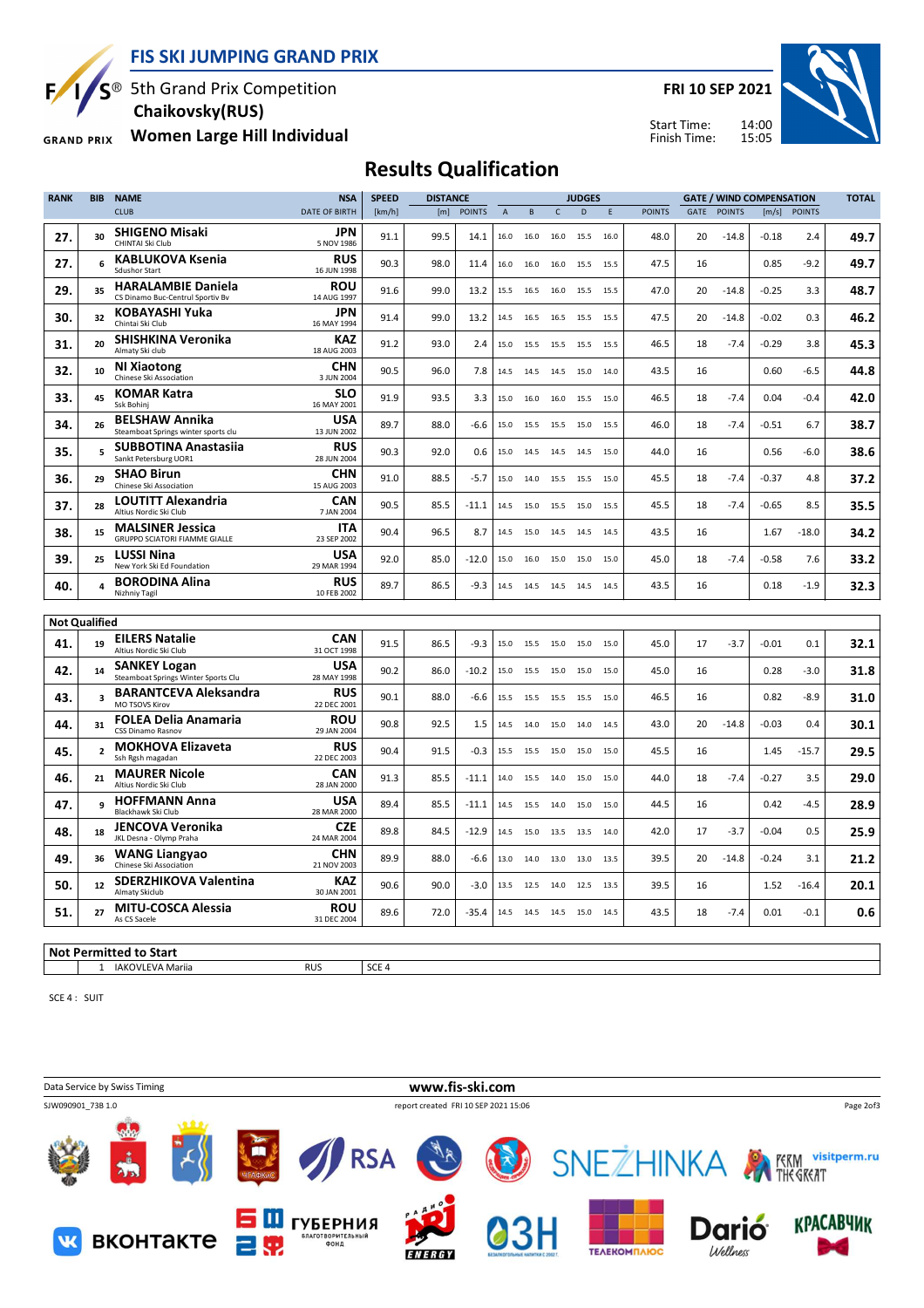$S^{\circledast}$  5th Grand Prix Competition F

 **Chaikovsky(RUS)**

**Women Large Hill Individual GRAND PRIX** 

**FRI 10 SEP 2021**





## **Results Qualification**

| <b>RANK</b> | <b>BIB</b>              | <b>NAME</b>                                                   | <b>NSA</b>                | <b>SPEED</b> | <b>DISTANCE</b> |               |                |           |              | <b>JUDGES</b> |      |               |      |               | <b>GATE / WIND COMPENSATION</b> |               | <b>TOTAL</b> |
|-------------|-------------------------|---------------------------------------------------------------|---------------------------|--------------|-----------------|---------------|----------------|-----------|--------------|---------------|------|---------------|------|---------------|---------------------------------|---------------|--------------|
|             |                         | <b>CLUB</b>                                                   | DATE OF BIRTH             | [km/h]       | [m]             | <b>POINTS</b> | $\overline{A}$ | B         | $\mathsf{C}$ | D             | E    | <b>POINTS</b> | GATE | <b>POINTS</b> | [m/s]                           | <b>POINTS</b> |              |
| 27.         | 30                      | <b>SHIGENO Misaki</b><br>CHINTAI Ski Club                     | JPN<br>5 NOV 1986         | 91.1         | 99.5            | 14.1          | 16.0           | 16.0      | 16.0         | 15.5          | 16.0 | 48.0          | 20   | $-14.8$       | $-0.18$                         | 2.4           | 49.7         |
| 27.         | 6                       | <b>KABLUKOVA Ksenia</b><br><b>Sdushor Start</b>               | <b>RUS</b><br>16 JUN 1998 | 90.3         | 98.0            | 11.4          | 16.0           | 16.0      | 16.0         | 15.5          | 15.5 | 47.5          | 16   |               | 0.85                            | $-9.2$        | 49.7         |
| 29.         | 35                      | <b>HARALAMBIE Daniela</b><br>CS Dinamo Buc-Centrul Sportiv Bv | <b>ROU</b><br>14 AUG 1997 | 91.6         | 99.0            | 13.2          | 15.5           | 16.5      | 16.0         | 15.5          | 15.5 | 47.0          | 20   | $-14.8$       | $-0.25$                         | 3.3           | 48.7         |
| 30.         | 32                      | KOBAYASHI Yuka<br>Chintai Ski Club                            | <b>JPN</b><br>16 MAY 1994 | 91.4         | 99.0            | 13.2          | 14.5           | 16.5      | 16.5         | 15.5          | 15.5 | 47.5          | 20   | $-14.8$       | $-0.02$                         | 0.3           | 46.2         |
| 31.         | 20                      | SHISHKINA Veronika<br>Almaty Ski club                         | KAZ<br>18 AUG 2003        | 91.2         | 93.0            | 2.4           | 15.0           | 15.5      | 15.5         | 15.5          | 15.5 | 46.5          | 18   | $-7.4$        | $-0.29$                         | 3.8           | 45.3         |
| 32.         | 10                      | <b>NI Xiaotong</b><br>Chinese Ski Association                 | <b>CHN</b><br>3 JUN 2004  | 90.5         | 96.0            | 7.8           | 14.5           | 14.5      | 14.5         | 15.0          | 14.0 | 43.5          | 16   |               | 0.60                            | -6.5          | 44.8         |
| 33.         | 45                      | <b>KOMAR Katra</b><br>Ssk Bohini                              | SLO<br>16 MAY 2001        | 91.9         | 93.5            | 3.3           | 15.0           | 16.0      | 16.0         | 15.5          | 15.0 | 46.5          | 18   | $-7.4$        | 0.04                            | $-0.4$        | 42.0         |
| 34.         | 26                      | <b>BELSHAW Annika</b><br>Steamboat Springs winter sports clu  | <b>USA</b><br>13 JUN 2002 | 89.7         | 88.0            | $-6.6$        | 15.0           | 15.5      | 15.5         | 15.0          | 15.5 | 46.0          | 18   | $-7.4$        | $-0.51$                         | 6.7           | 38.7         |
| 35.         | 5                       | <b>SUBBOTINA Anastasiia</b><br>Sankt Petersburg UOR1          | <b>RUS</b><br>28 JUN 2004 | 90.3         | 92.0            | 0.6           | 15.0           | 14.5      | 14.5         | 14.5          | 15.0 | 44.0          | 16   |               | 0.56                            | $-6.0$        | 38.6         |
| 36.         | 29                      | <b>SHAO Birun</b><br>Chinese Ski Association                  | <b>CHN</b><br>15 AUG 2003 | 91.0         | 88.5            | $-5.7$        | 15.0           | 14.0      | 15.5         | 15.5          | 15.0 | 45.5          | 18   | $-7.4$        | $-0.37$                         | 4.8           | 37.2         |
| 37.         | 28                      | LOUTITT Alexandria<br>Altius Nordic Ski Club                  | CAN<br>7 JAN 2004         | 90.5         | 85.5            | $-11.1$       | 14.5           | 15.0      | 15.5         | 15.0          | 15.5 | 45.5          | 18   | $-7.4$        | $-0.65$                         | 8.5           | 35.5         |
| 38.         | 15                      | <b>MALSINER Jessica</b><br>GRUPPO SCIATORI FIAMME GIALLE      | <b>ITA</b><br>23 SEP 2002 | 90.4         | 96.5            | 8.7           | 14.5           | 15.0      | 14.5         | 14.5          | 14.5 | 43.5          | 16   |               | 1.67                            | -18.0         | 34.2         |
| 39.         | 25                      | <b>LUSSI Nina</b><br>New York Ski Ed Foundation               | <b>USA</b><br>29 MAR 1994 | 92.0         | 85.0            | $-12.0$       | 15.0           | 16.0      | 15.0         | 15.0          | 15.0 | 45.0          | 18   | $-7.4$        | $-0.58$                         | 7.6           | 33.2         |
| 40.         | 4                       | <b>BORODINA Alina</b><br>Nizhniy Tagil                        | <b>RUS</b><br>10 FEB 2002 | 89.7         | 86.5            | $-9.3$        | 14.5           | 14.5      | 14.5         | 14.5          | 14.5 | 43.5          | 16   |               | 0.18                            | $-1.9$        | 32.3         |
|             | <b>Not Qualified</b>    |                                                               |                           |              |                 |               |                |           |              |               |      |               |      |               |                                 |               |              |
| 41.         | 19                      | <b>EILERS Natalie</b><br>Altius Nordic Ski Club               | <b>CAN</b><br>31 OCT 1998 | 91.5         | 86.5            | $-9.3$        | 15.0           | 15.5      | 15.0         | 15.0          | 15.0 | 45.0          | 17   | -3.7          | $-0.01$                         | 0.1           | 32.1         |
| 42.         | 14                      | <b>SANKEY Logan</b><br>Steamboat Springs Winter Sports Clu    | <b>USA</b><br>28 MAY 1998 | 90.2         | 86.0            | $-10.2$       | 15.0           | 15.5      | 15.0         | 15.0          | 15.0 | 45.0          | 16   |               | 0.28                            | $-3.0$        | 31.8         |
| 43.         | $\overline{\mathbf{3}}$ | <b>BARANTCEVA Aleksandra</b><br>MO TSOVS Kirov                | <b>RUS</b><br>22 DEC 2001 | 90.1         | 88.0            | $-6.6$        | 15.5           | 15.5      | 15.5         | 15.5          | 15.0 | 46.5          | 16   |               | 0.82                            | $-8.9$        | 31.0         |
| 44.         | 31                      | <b>FOLEA Delia Anamaria</b><br>CSS Dinamo Rasnov              | <b>ROU</b><br>29 JAN 2004 | 90.8         | 92.5            | 1.5           | 14.5           | 14.0      | 15.0         | 14.0          | 14.5 | 43.0          | 20   | $-14.8$       | $-0.03$                         | 0.4           | 30.1         |
| 45.         | $\overline{2}$          | <b>MOKHOVA Elizaveta</b><br>Ssh Rgsh magadan                  | <b>RUS</b><br>22 DEC 2003 | 90.4         | 91.5            | $-0.3$        | 15.5           | 15.5      | 15.0         | 15.0          | 15.0 | 45.5          | 16   |               | 1.45                            | $-15.7$       | 29.5         |
| 46          | 21                      | <b>MAURER Nicole</b><br>Altius Nordic Ski Club                | CAN<br>28 JAN 2000        | 91.3         | 85.5            | $-11.1$       | 14.0           | 15.5      | 14.0         | 15.0          | 15.0 | 44.0          | 18   | $-7.4$        | $-0.27$                         | 3.5           | 29.0         |
| 47.         | 9                       | <b>HOFFMANN Anna</b><br>Blackhawk Ski Club                    | <b>USA</b><br>28 MAR 2000 | 89.4         | 85.5            | $-11.1$       | 14.5           | 15.5      | 14.0         | 15.0          | 15.0 | 44.5          | 16   |               | 0.42                            | $-4.5$        | 28.9         |
| 48.         | 18                      | <b>JENCOVA Veronika</b><br>JKL Desna - Olymp Praha            | <b>CZE</b><br>24 MAR 2004 | 89.8         | 84.5            | $-12.9$       | 14.5           | 15.0      |              | 13.5 13.5     | 14.0 | 42.0          | 17   | $-3.7$        | $-0.04$                         | 0.5           | 25.9         |
| 49          | 36                      | <b>WANG Liangyao</b><br>Chinese Ski Association               | <b>CHN</b><br>21 NOV 2003 | 89.9         | 88.0            | $-6.6$        | 13.0           | 14.0      | 13.0         | 13.0          | 13.5 | 39.5          | 20   | $-14.8$       | $-0.24$                         | 3.1           | 21.2         |
| 50.         | 12                      | <b>SDERZHIKOVA Valentina</b><br><b>Almaty Skiclub</b>         | <b>KAZ</b><br>30 JAN 2001 | 90.6         | 90.0            | $-3.0$        | 13.5           | 12.5      | 14.0         | 12.5          | 13.5 | 39.5          | 16   |               | 1.52                            | -16.4         | 20.1         |
| 51.         | 27                      | <b>MITU-COSCA Alessia</b><br>As CS Sacele                     | <b>ROU</b><br>31 DEC 2004 | 89.6         | 72.0            | $-35.4$       |                | 14.5 14.5 |              | 14.5 15.0     | 14.5 | 43.5          | 18   | $-7.4$        | 0.01                            | $-0.1$        | 0.6          |
|             |                         |                                                               |                           |              |                 |               |                |           |              |               |      |               |      |               |                                 |               |              |

**Not Permitted to Start**

1 IAKOVLEVA Mariia RUS RUS SCE 4

SCE 4 : SUIT